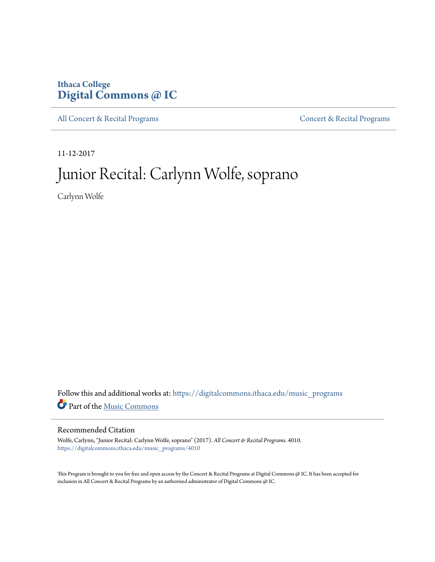# **Ithaca College [Digital Commons @ IC](https://digitalcommons.ithaca.edu?utm_source=digitalcommons.ithaca.edu%2Fmusic_programs%2F4010&utm_medium=PDF&utm_campaign=PDFCoverPages)**

[All Concert & Recital Programs](https://digitalcommons.ithaca.edu/music_programs?utm_source=digitalcommons.ithaca.edu%2Fmusic_programs%2F4010&utm_medium=PDF&utm_campaign=PDFCoverPages) **[Concert & Recital Programs](https://digitalcommons.ithaca.edu/som_programs?utm_source=digitalcommons.ithaca.edu%2Fmusic_programs%2F4010&utm_medium=PDF&utm_campaign=PDFCoverPages)** 

11-12-2017

# Junior Recital: Carlynn Wolfe, soprano

Carlynn Wolfe

Follow this and additional works at: [https://digitalcommons.ithaca.edu/music\\_programs](https://digitalcommons.ithaca.edu/music_programs?utm_source=digitalcommons.ithaca.edu%2Fmusic_programs%2F4010&utm_medium=PDF&utm_campaign=PDFCoverPages) Part of the [Music Commons](http://network.bepress.com/hgg/discipline/518?utm_source=digitalcommons.ithaca.edu%2Fmusic_programs%2F4010&utm_medium=PDF&utm_campaign=PDFCoverPages)

## Recommended Citation

Wolfe, Carlynn, "Junior Recital: Carlynn Wolfe, soprano" (2017). *All Concert & Recital Programs*. 4010. [https://digitalcommons.ithaca.edu/music\\_programs/4010](https://digitalcommons.ithaca.edu/music_programs/4010?utm_source=digitalcommons.ithaca.edu%2Fmusic_programs%2F4010&utm_medium=PDF&utm_campaign=PDFCoverPages)

This Program is brought to you for free and open access by the Concert & Recital Programs at Digital Commons @ IC. It has been accepted for inclusion in All Concert & Recital Programs by an authorized administrator of Digital Commons @ IC.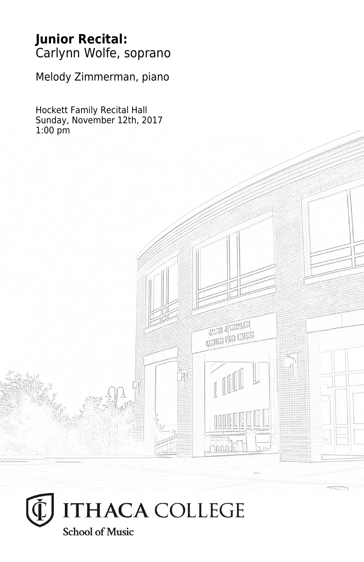## **Junior Recital:** Carlynn Wolfe, soprano

Melody Zimmerman, piano

Hockett Family Recital Hall Sunday, November 12th, 2017 1:00 pm

**THES JUVANIEN CELLEY LEQUE L'UNESIG** 

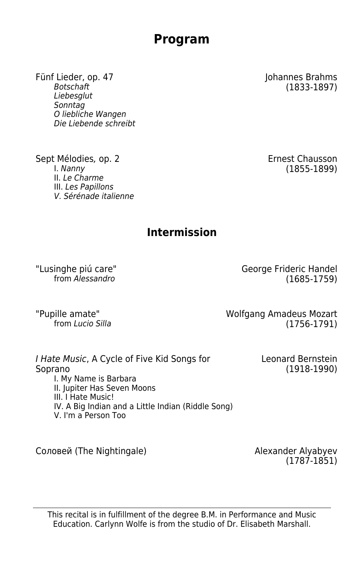## **Program**

Fünf Lieder, op. 47 Johannes Brahms Liebesglut Sonntag O liebliche Wangen Die Liebende schreibt

Sept Mélodies, op. 2 Ernest Chausson<br>1. Nanny 1. Nanny (1855-1899) II. Le Charme III. Les Papillons V. Sérénade italienne

 $(1833 - 1897)$ 

 $(1855-1899)$ 

## **Intermission**

"Lusinghe piú care" George Frideric Handel  $(1685 - 1759)$ 

Pupille amate"<br>from Lucio Silla Come and the Molfgang Amadeus Mozart<br>(1756-1791)  $(1756-1791)$ 

I Hate Music, A Cycle of Five Kid Songs for Soprano I. My Name is Barbara II. Jupiter Has Seven Moons III. I Hate Music! IV. A Big Indian and a Little Indian (Riddle Song) V. I'm a Person Too

Соловей (The Nightingale) Alexander Alyabyev

(1787-1851)

Leonard Bernstein (1918-1990)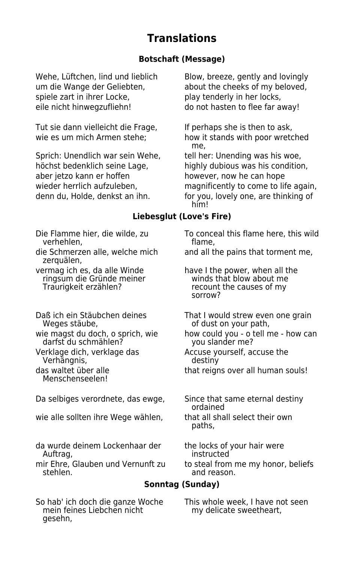## **Translations**

#### **Botschaft (Message)**

um die Wange der Geliebten, about the cheeks of my beloved, spiele zart in ihrer Locke, play tenderly in her locks, eile nicht hinwegzufliehn! do not hasten to flee far away!

Tut sie dann vielleicht die Frage, If perhaps she is then to ask,

Sprich: Unendlich war sein Wehe, tell her: Unending was his woe, höchst bedenklich seine Lage, highly dubious was his condition, aber jetzo kann er hoffen however, now he can hope

Wehe, Lüftchen, lind und lieblich Blow, breeze, gently and lovingly

wie es um mich Armen stehe; how it stands with poor wretched me,

wieder herrlich aufzuleben, magnificently to come to life again, denn du, Holde, denkst an ihn. for you, lovely one, are thinking of him!

#### **Liebesglut (Love's Fire)**

verhehlen,

zerguälen.

ringsum die Gründe meiner<br>Traurigkeit erzählen?

darfst du schmählen?

Verhängnis, destiny

Menschenseelen!

Da selbiges verordnete, das ewge, Since that same eternal destiny

wie alle sollten ihre Wege wählen, that all shall select their own

da wurde deinem Lockenhaar der the locks of your hair were<br>Auftrag, instructed

mir Ehre, Glauben und Vernunft zu to steal from me my honor, beliefs<br>steblen and reason

So hab' ich doch die ganze Woche This whole week, I have not seen<br>mein feines Liebchen nicht my delicate sweetheart, mein feines Liebchen nicht gesehn,

Die Flamme hier, die wilde, zu To conceal this flame here, this wild<br>verhehlen. verhehlen.

die Schmerzen alle, welche mich and all the pains that torment me,

vermag ich es, da alle Winde have I the power, when all the ringsum die Gründe meiner recount the causes of my sorrow?

Daß ich ein Stäubchen deines That I would strew even one grain<br>Weges stäube, execution of dust on your path, of dust on your path,

wie magst du doch, o sprich, wie how could you - o tell me - how can<br>darfst du schmählen? you slander me?

Verklage dich, verklage das Accuse yourself, accuse the

das waltet über alle that reigns over all human souls!

ordained

paths,

instructed

and reason.

## **Sonntag (Sunday)**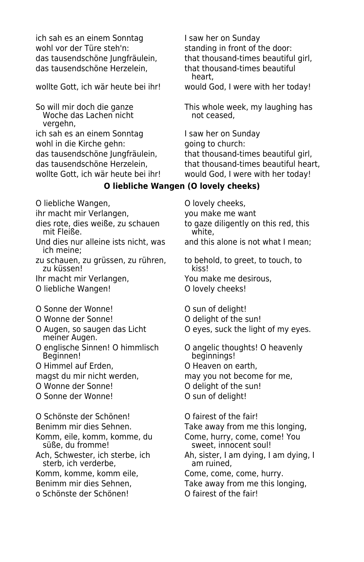ich sah es an einem Sonntag I saw her on Sunday wohl vor der Türe steh'n: standing in front of the door: das tausendschöne Herzelein, that thousand-times beautiful

wollte Gott, ich wär heute bei ihr! would God, I were with her today!

Woche das Lachen nicht vergehn, ich sah es an einem Sonntag I saw her on Sunday wohl in die Kirche gehn: qoing to church:

O liebliche Wangen,  $\qquad \qquad$  O lovely cheeks,

- ihr macht mir Verlangen. The word make me want
- mit Fleiße.
- Und dies nur alleine ists nicht, was and this alone is not what I mean; ich meine;
- zu schauen, zu grüssen, zu rühren, to behold, to greet, to touch, to zu küssen! zu küssen!
- Ihr macht mir Verlangen, You make me desirous,
- O liebliche Wangen! O lovely cheeks!
- O Sonne der Wonne! O sun of delight!
- 
- meiner Augen.
- 
- O Himmel auf Erden, **O Heaven on earth**,
- 
- O Wonne der Sonne! CO delight of the sun!
- O Sonne der Wonne! O sun of delight!

O Schönste der Schönen! O fairest of the fair! Benimm mir dies Sehnen. Take away from me this longing,

sterb, ich verderbe,

- Komm, komme, komm eile, Come, come, come, hurry.
- 
- o Schönste der Schönen! O fairest of the fair!

das tausendschöne Jungfräulein, that thousand-times beautiful girl, heart,

So will mir doch die ganze This whole week, my laughing has<br>Woche das Lachen nicht not ceased,

das tausendschöne Jungfräulein, that thousand-times beautiful girl, das tausendschöne Herzelein, that thousand-times beautiful heart, wollte Gott, ich wär heute bei ihr! would God, I were with her today!

#### **O liebliche Wangen (O lovely cheeks)**

dies rote, dies weiße, zu schauen to gaze diligently on this red, this mit Fleiße.

- 
- O Wonne der Sonne! O delight of the sun!
- O Augen, so saugen das Licht **O** eyes, suck the light of my eyes.
- O englische Sinnen! O himmlisch O angelic thoughts! O heavenly beginnings!
	-
- magst du mir nicht werden, may you not become for me,
	-
	-

Komm, eile, komm, komme, du Come, hurry, come, come! You<br>Süße, du fromme!<br>Sweet, innocent soul! sweet, innocent soul!

Ach, Schwester, ich sterbe, ich and Ah, sister, I am dying, I am dying, I am dying, I am dying, I am ruined.

- Benimm mir dies Sehnen, Take away from me this longing,
	-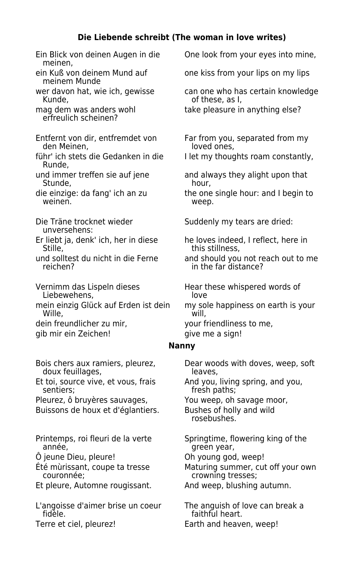#### **Die Liebende schreibt (The woman in love writes)**

Ein Blick von deinen Augen in die One look from your eyes into mine, meinen, ein Kuß von deinem Mund auf one kiss from your lips on my lips meinem Munde mag dem was anders wohl take pleasure in anything else? erfreulich scheinen? Entfernt von dir, entfremdet von Far from you, separated from my<br>den Meinen. Far from poved ones. den Meinen. führ' ich stets die Gedanken in die I let my thoughts roam constantly, Runde, und immer treffen sie auf jene and always they alight upon that<br>Stunde. bour. Stunde, die einzige: da fang' ich an zu the one single hour: and I begin to weinen. **Web** weep. Die Träne trocknet wieder Suddenly my tears are dried: unversehens: Er liebt ja, denk' ich, her in diese he loves indeed, I reflect, here in<br>Stille. https stillness. Vernimm das Lispeln dieses Hear these whispered words of<br>Liebewehens. Hove Hove Liebewehens, mein einzig Glück auf Erden ist dein my sole happiness on earth is your<br>Wille, Wille, dein freundlicher zu mir, your friendliness to me, gib mir ein Zeichen! give me a sign! doux feuillages, Et toi, source vive, et vous, frais And you, living spring, and you,<br>
sentiers: fresh paths: Pleurez, ô bruyères sauvages, You weep, oh savage moor, Buissons de houx et d'églantiers. Bushes of holly and wild

Printemps, roi fleuri de la verte Springtime, flowering king of the<br>année. The Sureen veare

Et pleure, Automne rougissant. And weep, blushing autumn.

L'angoisse d'aimer brise un coeur The anguish of love can break a<br>faithful heart.

wer davon hat, wie ich, gewisse can one who has certain knowledge<br>Can of these, as l. of these, as I,

this stillness.

und solltest du nicht in die Ferne and should you not reach out to me<br>in the far distance? in the far distance?

#### **Nanny**

Bois chers aux ramiers, pleurez, Dear woods with doves, weep, soft doux feuillages, fresh paths; rosebushes. green year,

Ô jeune Dieu, pleure! Oh young god, weep!

Été mùrissant, coupe ta tresse Maturing summer, cut off your own crowning tresses;

faithful heart. Terre et ciel, pleurez!<br>
Earth and heaven, weep!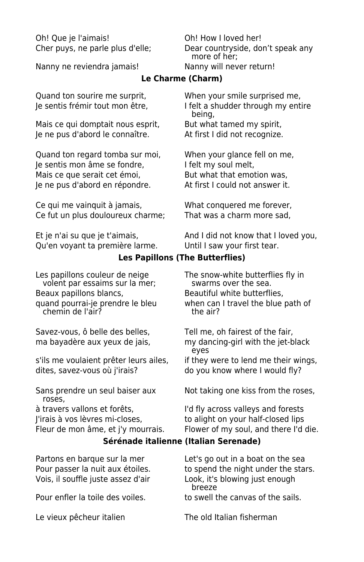Oh! Que je l'aimais! Oh! How I loved her!

Nanny ne reviendra jamais! Nanny will never return!

Cher puys, ne parle plus d'elle; Dear countryside, don't speak any more of her;

#### **Le Charme (Charm)**

Mais ce qui domptait nous esprit, But what tamed my spirit, Je ne pus d'abord le connaître. At first I did not recognize.

Quand ton regard tomba sur moi, When your glance fell on me, Je sentis mon âme se fondre, lielt my soul melt, Mais ce que serait cet émoi, But what that emotion was, Je ne pus d'abord en répondre. At first I could not answer it.

Ce qui me vainquit à jamais, What conquered me forever, Ce fut un plus douloureux charme; That was a charm more sad,

Qu'en voyant ta première larme. Until I saw your first tear.

Quand ton sourire me surprit, When your smile surprised me, Je sentis frémir tout mon être, I felt a shudder through my entire being,

Et je n'ai su que je t'aimais, and I did not know that I loved you,

#### **Les Papillons (The Butterflies)**

Les papillons couleur de neige The snow-white butterflies fly in<br>volent par essaims sur la mer; swarms over the sea. volent par essaims sur la mer; Beaux papillons blancs, Beautiful white butterflies, chemin de l'air?

Savez-vous, ô belle des belles. Tell me, oh fairest of the fair,

s'ils me voulaient prêter leurs ailes, if they were to lend me their wings, dites, savez-vous où j'irais? do you know where I would fly?

roses,

quand pourrai-je prendre le bleu when can I travel the blue path of chemin de l'air?

ma bayadère aux yeux de jais, my dancing-girl with the jet-black eyes

Sans prendre un seul baiser aux Not taking one kiss from the roses,

à travers vallons et forêts, I'd fly across valleys and forests J'irais à vos lèvres mi-closes, to alight on your half-closed lips Fleur de mon âme, et j'y mourrais. Flower of my soul, and there I'd die.

#### **Sérénade italienne (Italian Serenade)**

Vois, il souffle juste assez d'air Look, it's blowing just enough

Partons en barque sur la mer Let's go out in a boat on the sea Pour passer la nuit aux étoiles. The spend the night under the stars. breeze Pour enfler la toile des voiles. to swell the canvas of the sails.

Le vieux pêcheur italien The old Italian fisherman